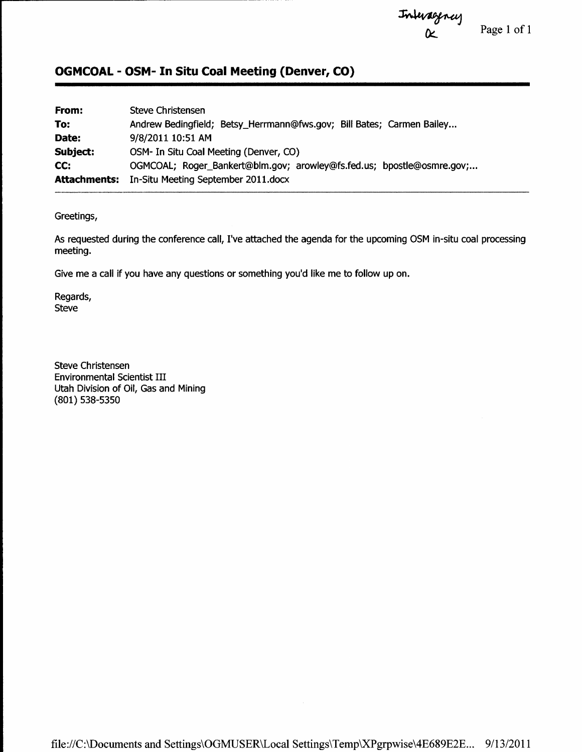t\h4flAttt+Al

 $\alpha$  Page 1 of 1

## OGMCOAL - OSM- In Situ Coal Meeting (Denver, CO)

| From:               | Steve Christensen                                                     |
|---------------------|-----------------------------------------------------------------------|
| To:                 | Andrew Bedingfield; Betsy_Herrmann@fws.gov; Bill Bates; Carmen Bailey |
| Date:               | 9/8/2011 10:51 AM                                                     |
| Subject:            | OSM- In Situ Coal Meeting (Denver, CO)                                |
| CC:                 | OGMCOAL; Roger_Bankert@blm.gov; arowley@fs.fed.us; bpostle@osmre.gov; |
| <b>Attachments:</b> | In-Situ Meeting September 2011.docx                                   |

Greetings,

As requested during the conference call, I've attached the agenda for the upcoming OSM in-situ coal processing meeting.

Give me a call if you have any questions or something you'd like me to follow up on.

Regards, Steve

Steve Christensen Environmental Scientist III Utah Division of Oil, Gas and Mining (801) s38-s3s0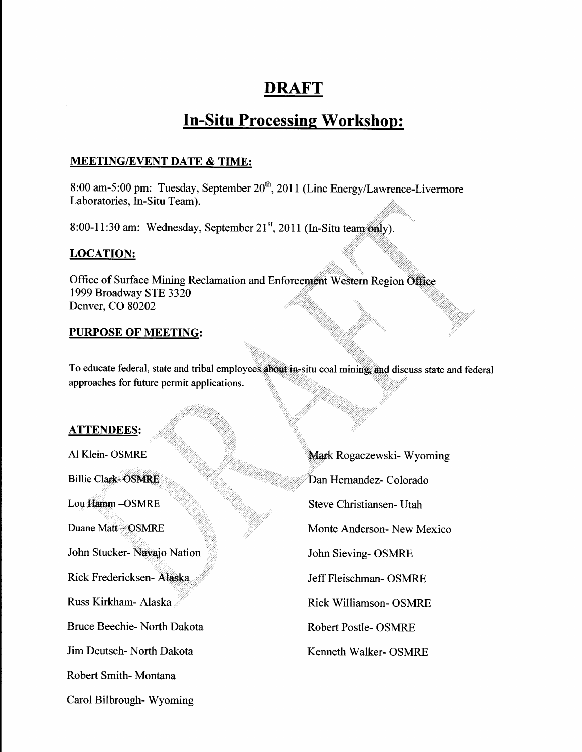## **DRAFT**

# **In-Situ Processing Workshop:**

### **MEETING/EVENT DATE & TIME:**

8:00 am-5:00 pm: Tuesday, September 20<sup>th</sup>, 2011 (Linc Energy/Lawrence-Livermore Laboratories, In-Situ Team).

8:00-11:30 am: Wednesday, September 21<sup>st</sup>, 2011 (In-Situ team only).

### **LOCATION:**

Office of Surface Mining Reclamation and Enforcement Western Region Office 1999 Broadway STE 3320 Denver, CO 80202

#### **PURPOSE OF MEETING:**

To educate federal, state and tribal employees about in-situ coal mining, and discuss state and federal approaches for future permit applications.

#### **ATTENDEES:**

- Al Klein-OSMRE Billie Clark-OSMRE Lou Hamm-OSMRE Duane Matt = OSMRE John Stucker- Navajo Nation Rick Fredericksen- Alaska Russ Kirkham- Alaska Bruce Beechie- North Dakota Jim Deutsch- North Dakota Robert Smith-Montana Carol Bilbrough-Wyoming
- Mark Rogaczewski- Wyoming Dan Hernandez- Colorado Steve Christiansen- Utah Monte Anderson-New Mexico John Sieving-OSMRE Jeff Fleischman- OSMRE **Rick Williamson- OSMRE Robert Postle- OSMRE** Kenneth Walker- OSMRE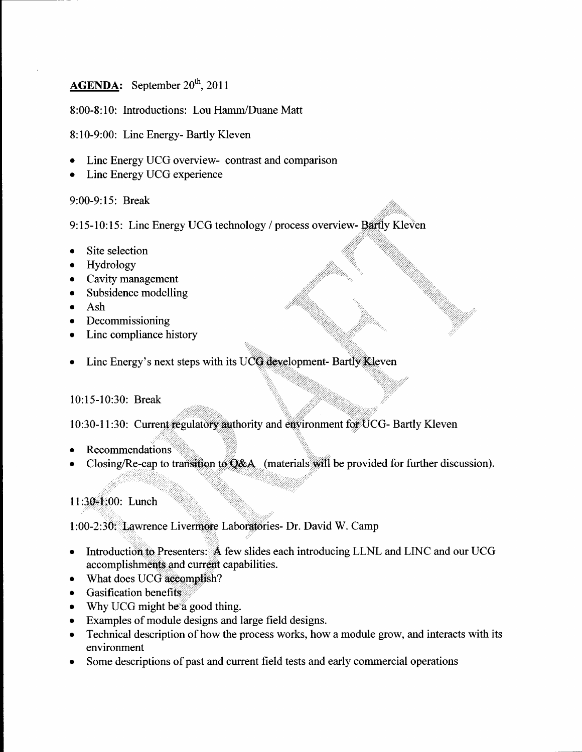## **AGENDA:** September  $20^{th}$ , 2011

8:00-8: 10: Introductions: Lou Hamm/Duane Matt

8:10-9:00: Linc Energy- Bartly Kleven

- Linc Energy UCG overview- contrast and comparison
- Linc Energy UCG experience

9:00-9:15: Break

9:15-10:15: Linc Energy UCG technology / process overview- Bartly Kleven

- . Site selection
- . Hydrology
- Cavity management
- Subsidence modelling
- . Ash
- Decommissioning
- . Linc compliance history
- Linc Energy's next steps with its UCG development- Bartly Kleven

 $\overline{\mathcal{L}}$ 

#### 10:15-10:30: Break

10:30-11:30: Current regulatory authority and environment for UCG- Bartly Kleven

- Recommendations
- Closing/Re-cap to transition to Q&A (materials will be provided for further discussion).

11:30-1:00: Lunch

1:00-2:30: Lawrence Livermore Laboratories- Dr. David W. Camp

- Introduction to Presenters: A few slides each introducing LLNL and LINC and our UCG  $\bullet$ accomplishments and current capabilities.
- What does UCG accomplish?
- Gasification benefits
- Why UCG might be a good thing.
- Examples of module designs and large field designs. t
- Technical description of how the process works, how a module grow, and interacts with its  $\bullet$ environment
- Some descriptions of past and current field tests and early commercial operations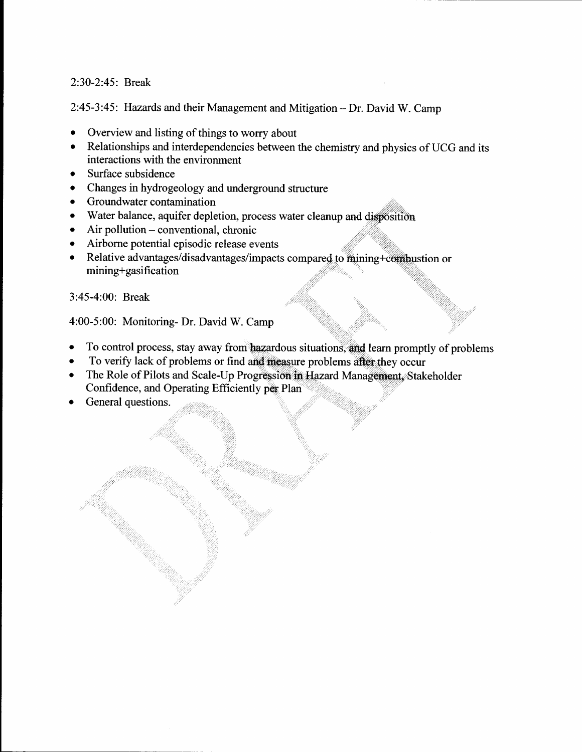#### 2:30-2:45: Break

2:45-3:45: Hazards and their Management and Mitigation - Dr. David W. Camp

- Overview and listing of things to worry about
- Relationships and interdependencies between the chemistry and physics of UCG and its interactions with the environment
- Surface subsidence  $\bullet$
- Changes in hydrogeology and underground structure  $\bullet$
- Groundwater contamination  $\bullet$
- Water balance, aquifer depletion, process water cleanup and disposition  $\bullet$
- Air pollution  $-$  conventional, chronic  $\bullet$
- Airborne potential episodic release events
- Relative advantages/disadvantages/impacts compared to mining+compustion or  $\bullet$ mining+gasification

3:45-4:00: Break

4:00-5:00: Monitoring- Dr. David W. Camp

- To control process, stay away from hazardous situations, and learn promptly of problems  $\bullet$
- To verify lack of problems or find and measure problems after they occur
- The Role of Pilots and Scale-Up Progression in Hazard Management, Stakeholder Confidence, and Operating Efficiently per Plan
- General questions.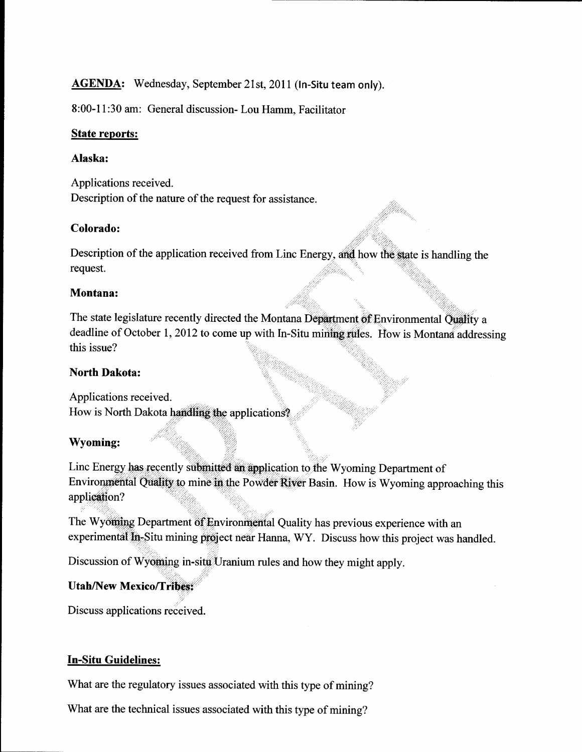## AGENDA: Wednesday, September 21st, 2011 (In-Situ team only).

8:00-1 1:30 am: General discussion- Lou Hamm, Facilitator

#### State reports:

#### Alaska:

Applications received. Description of the nature of the request for assistance.

### Colorado:

Description of the application received from Linc Energy, and how the state is handling the request.

### Montana:

The state legislature recently directed the Montana Department of Environmental Quality a deadline of October 1, 2012 to come up with In-Situ mining rules. How is Montana addressing this issue?

## North Dakota:

Applications received. How is North Dakota handling the applications?

## \Myoming:

,'' Linc Energy has recently submitted an application to the Wyoming Department of Environmental Quality to mine in the Powder River Basin. How is Wyoming approaching this application?

The Wyoming Department of Environmental Quality has previous experience with an experim ental In-Situ mining project near Hanna, WY. Discuss how this project was handled.

': Discussion of Wyoming in-situ Uranium rules and how they might apply.

#### Utah/New Mexico/Tribes: i

Discuss applications received.

## **In-Situ Guidelines:**

What are the regulatory issues associated with this type of mining?

What are the technical issues associated with this type of mining?